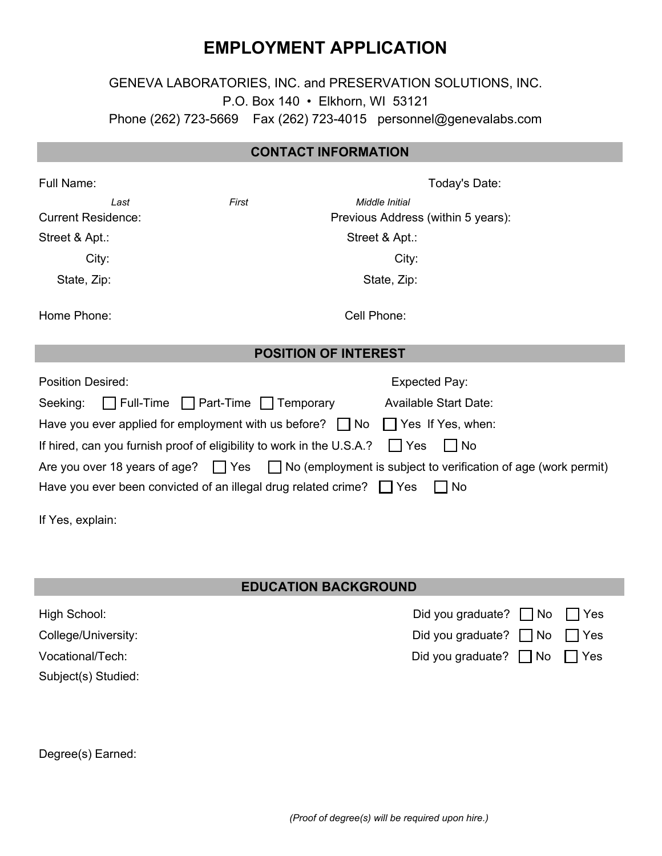# **EMPLOYMENT APPLICATION**

## GENEVA LABORATORIES, INC. and PRESERVATION SOLUTIONS, INC. P.O. Box 140 • Elkhorn, WI 53121 Phone (262) 723-5669 Fax (262) 723-4015 personnel@genevalabs.com

## **CONTACT INFORMATION**

| Full Name:                                                                                | Today's Date:                 |                                                                                                                |  |  |  |  |
|-------------------------------------------------------------------------------------------|-------------------------------|----------------------------------------------------------------------------------------------------------------|--|--|--|--|
| Last                                                                                      | First                         | Middle Initial                                                                                                 |  |  |  |  |
| <b>Current Residence:</b>                                                                 |                               | Previous Address (within 5 years):                                                                             |  |  |  |  |
| Street & Apt.:                                                                            |                               | Street & Apt.:                                                                                                 |  |  |  |  |
| City:                                                                                     |                               | City:                                                                                                          |  |  |  |  |
| State, Zip:                                                                               |                               | State, Zip:                                                                                                    |  |  |  |  |
| Home Phone:                                                                               |                               | Cell Phone:                                                                                                    |  |  |  |  |
| <b>POSITION OF INTEREST</b>                                                               |                               |                                                                                                                |  |  |  |  |
| Position Desired:                                                                         |                               | <b>Expected Pay:</b>                                                                                           |  |  |  |  |
| Seeking:                                                                                  | Full-Time Part-Time Temporary | <b>Available Start Date:</b>                                                                                   |  |  |  |  |
| Have you ever applied for employment with us before? $\Box$ No $\Box$ Yes If Yes, when:   |                               |                                                                                                                |  |  |  |  |
| If hired, can you furnish proof of eligibility to work in the U.S.A.? $\Box$ Yes<br>l INo |                               |                                                                                                                |  |  |  |  |
|                                                                                           |                               | Are you over 18 years of age? $\Box$ Yes $\Box$ No (employment is subject to verification of age (work permit) |  |  |  |  |
| Have you ever been convicted of an illegal drug related crime? $\Box$ Yes<br>∣ No         |                               |                                                                                                                |  |  |  |  |
| If Yes, explain:                                                                          |                               |                                                                                                                |  |  |  |  |

#### **EDUCATION BACKGROUND**

| High School:        | Did you graduate? $\Box$ No $\Box$ Yes |      |
|---------------------|----------------------------------------|------|
| College/University: | Did you graduate? $\Box$ No $\Box$ Yes |      |
| Vocational/Tech:    | Did you graduate? $\Box$ No            | 'Yes |
| Subject(s) Studied: |                                        |      |

Degree(s) Earned: